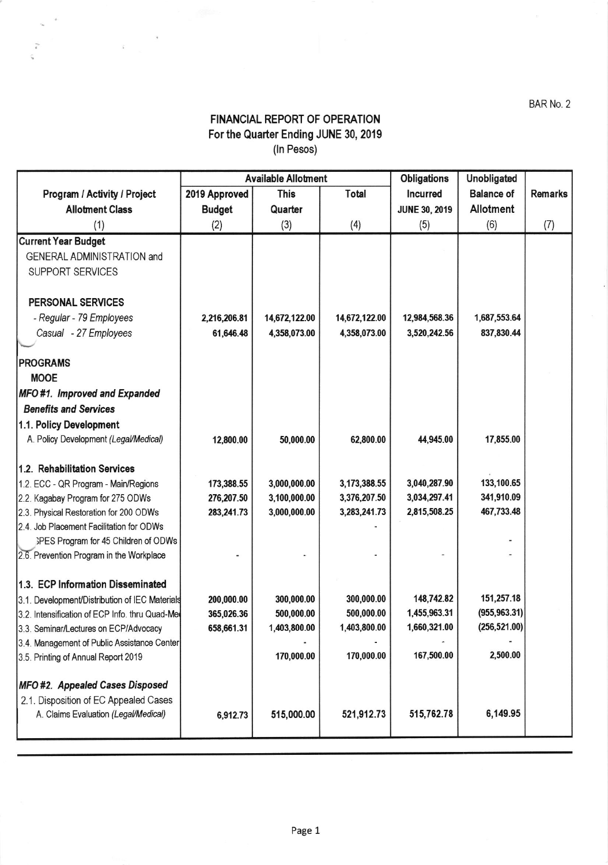## FINANCIAL REPORT OF OPERATION For the Quarter Ending JUNE 30, 2019 (In Pesos)

 $\hat{\mathbf{c}}$  $\tilde{\epsilon}_{\rm eq}$ 

 $\bar{i}$ 

|                                                |               | <b>Available Allotment</b> |               | <b>Obligations</b>   | Unobligated       |                |
|------------------------------------------------|---------------|----------------------------|---------------|----------------------|-------------------|----------------|
| Program / Activity / Project                   | 2019 Approved | <b>This</b>                | Total         | <b>Incurred</b>      | <b>Balance of</b> | <b>Remarks</b> |
| <b>Allotment Class</b>                         | <b>Budget</b> | Quarter                    |               | <b>JUNE 30, 2019</b> | Allotment         |                |
| (1)                                            | (2)           | (3)                        | (4)           | (5)                  | (6)               | (7)            |
| <b>Current Year Budget</b>                     |               |                            |               |                      |                   |                |
| GENERAL ADMINISTRATION and                     |               |                            |               |                      |                   |                |
| <b>SUPPORT SERVICES</b>                        |               |                            |               |                      |                   |                |
| <b>PERSONAL SERVICES</b>                       |               |                            |               |                      |                   |                |
| - Regular - 79 Employees                       | 2,216,206.81  | 14,672,122.00              | 14,672,122.00 | 12,984,568.36        | 1,687,553.64      |                |
| Casual - 27 Employees                          | 61,646.48     | 4,358,073.00               | 4,358,073.00  | 3,520,242.56         | 837,830.44        |                |
|                                                |               |                            |               |                      |                   |                |
| <b>PROGRAMS</b>                                |               |                            |               |                      |                   |                |
| <b>MOOE</b>                                    |               |                            |               |                      |                   |                |
| MFO #1. Improved and Expanded                  |               |                            |               |                      |                   |                |
| <b>Benefits and Services</b>                   |               |                            |               |                      |                   |                |
| 1.1. Policy Development                        |               |                            |               |                      |                   |                |
| A. Policy Development (Legal/Medical)          | 12,800.00     | 50,000.00                  | 62,800.00     | 44,945.00            | 17,855.00         |                |
| 1.2. Rehabilitation Services                   |               |                            |               |                      |                   |                |
| 1.2. ECC - QR Program - Main/Regions           | 173,388.55    | 3,000,000.00               | 3,173,388.55  | 3,040,287.90         | 133,100.65        |                |
| 2.2. Kagabay Program for 275 ODWs              | 276,207.50    | 3,100,000.00               | 3,376,207.50  | 3,034,297.41         | 341,910.09        |                |
| 2.3. Physical Restoration for 200 ODWs         | 283,241.73    | 3,000,000.00               | 3,283,241.73  | 2,815,508.25         | 467,733.48        |                |
| 2.4. Job Placement Facilitation for ODWs       |               |                            |               |                      |                   |                |
| SPES Program for 45 Children of ODWs           |               |                            |               |                      |                   |                |
| 2.6. Prevention Program in the Workplace       |               |                            |               |                      |                   |                |
| 1.3. ECP Information Disseminated              |               |                            |               |                      |                   |                |
| 3.1. Development/Distribution of IEC Materials | 200,000.00    | 300,000.00                 | 300,000.00    | 148,742.82           | 151,257.18        |                |
| 3.2. Intensification of ECP Info. thru Quad-Me | 365,026.36    | 500,000.00                 | 500,000.00    | 1,455,963.31         | (955, 963.31)     |                |
| 3.3. Seminar/Lectures on ECP/Advocacy          | 658,661.31    | 1,403,800.00               | 1,403,800.00  | 1,660,321.00         | (256, 521.00)     |                |
| 3.4. Management of Public Assistance Center    |               |                            |               |                      |                   |                |
| 3.5. Printing of Annual Report 2019            |               | 170,000.00                 | 170,000.00    | 167,500.00           | 2,500.00          |                |
| MFO #2. Appealed Cases Disposed                |               |                            |               |                      |                   |                |
| 2.1. Disposition of EC Appealed Cases          |               |                            |               |                      |                   |                |
| A. Claims Evaluation (Legal/Medical)           | 6,912.73      | 515,000.00                 | 521,912.73    | 515,762.78           | 6,149.95          |                |
|                                                |               |                            |               |                      |                   |                |

BAR No. 2